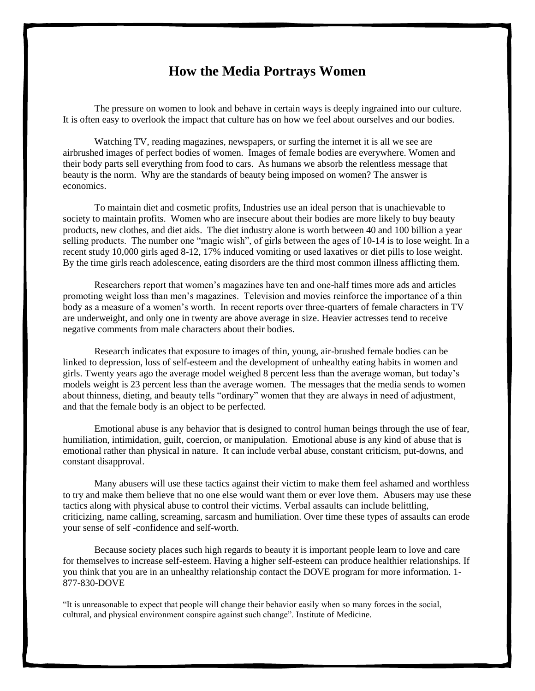## **How the Media Portrays Women**

The pressure on women to look and behave in certain ways is deeply ingrained into our culture. It is often easy to overlook the impact that culture has on how we feel about ourselves and our bodies.

Watching TV, reading magazines, newspapers, or surfing the internet it is all we see are airbrushed images of perfect bodies of women. Images of female bodies are everywhere. Women and their body parts sell everything from food to cars. As humans we absorb the relentless message that beauty is the norm. Why are the standards of beauty being imposed on women? The answer is economics.

To maintain diet and cosmetic profits, Industries use an ideal person that is unachievable to society to maintain profits. Women who are insecure about their bodies are more likely to buy beauty products, new clothes, and diet aids. The diet industry alone is worth between 40 and 100 billion a year selling products. The number one "magic wish", of girls between the ages of 10-14 is to lose weight. In a recent study 10,000 girls aged 8-12, 17% induced vomiting or used laxatives or diet pills to lose weight. By the time girls reach adolescence, eating disorders are the third most common illness afflicting them.

Researchers report that women's magazines have ten and one-half times more ads and articles promoting weight loss than men's magazines. Television and movies reinforce the importance of a thin body as a measure of a women's worth. In recent reports over three-quarters of female characters in TV are underweight, and only one in twenty are above average in size. Heavier actresses tend to receive negative comments from male characters about their bodies.

Research indicates that exposure to images of thin, young, air-brushed female bodies can be linked to depression, loss of self-esteem and the development of unhealthy eating habits in women and girls. Twenty years ago the average model weighed 8 percent less than the average woman, but today's models weight is 23 percent less than the average women. The messages that the media sends to women about thinness, dieting, and beauty tells "ordinary" women that they are always in need of adjustment, and that the female body is an object to be perfected.

Emotional abuse is any behavior that is designed to control human beings through the use of fear, humiliation, intimidation, guilt, coercion, or manipulation. Emotional abuse is any kind of abuse that is emotional rather than physical in nature. It can include verbal abuse, constant criticism, put-downs, and constant disapproval.

Many abusers will use these tactics against their victim to make them feel ashamed and worthless to try and make them believe that no one else would want them or ever love them. Abusers may use these tactics along with physical abuse to control their victims. Verbal assaults can include belittling, criticizing, name calling, screaming, sarcasm and humiliation. Over time these types of assaults can erode your sense of self -confidence and self-worth.

Because society places such high regards to beauty it is important people learn to love and care for themselves to increase self-esteem. Having a higher self-esteem can produce healthier relationships. If you think that you are in an unhealthy relationship contact the DOVE program for more information. 1- 877-830-DOVE

"It is unreasonable to expect that people will change their behavior easily when so many forces in the social, cultural, and physical environment conspire against such change". Institute of Medicine.